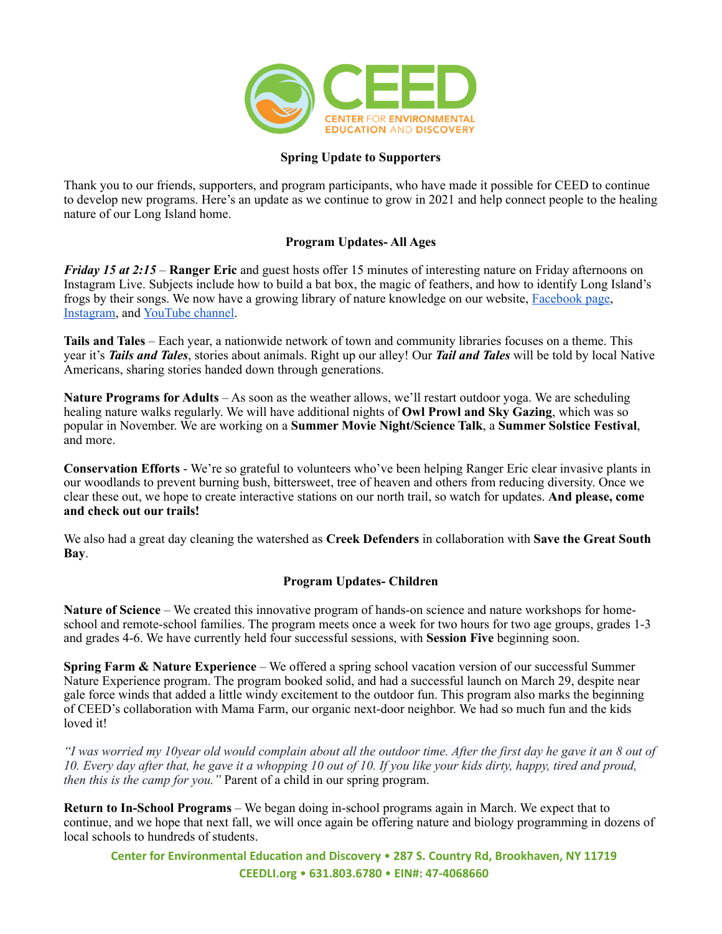

### **Spring Update to Supporters**

Thank you to our friends, supporters, and program participants, who have made it possible for CEED to continue to develop new programs. Here's an update as we continue to grow in 2021 and help connect people to the healing nature of our Long Island home.

## **Program Updates- All Ages**

*Friday 15 at 2:15* – **Ranger Eric** and guest hosts offer 15 minutes of interesting nature on Friday afternoons on Instagram Live. Subjects include how to build a bat box, the magic of feathers, and how to identify Long Island's frogs by their songs. We now have a growing library of nature knowledge on our website, [Facebook page,](https://www.facebook.com/ceedlongisland) [Instagram,](https://www.instagram.com/ceedlongisland/) and [YouTube channel.](https://www.youtube.com/channel/UCLkJSEjGhhvFze0HDJoIIwA)

**Tails and Tales** – Each year, a nationwide network of town and community libraries focuses on a theme. This year it's *Tails and Tales*, stories about animals. Right up our alley! Our *Tail and Tales* will be told by local Native Americans, sharing stories handed down through generations.

**Nature Programs for Adults** – As soon as the weather allows, we'll restart outdoor yoga. We are scheduling healing nature walks regularly. We will have additional nights of **Owl Prowl and Sky Gazing**, which was so popular in November. We are working on a **Summer Movie Night/Science Talk**, a **Summer Solstice Festival**, and more.

**Conservation Efforts** - We're so grateful to volunteers who've been helping Ranger Eric clear invasive plants in our woodlands to prevent burning bush, bittersweet, tree of heaven and others from reducing diversity. Once we clear these out, we hope to create interactive stations on our north trail, so watch for updates. **And please, come and check out our trails!**

We also had a great day cleaning the watershed as **Creek Defenders** in collaboration with **Save the Great South Bay**.

## **Program Updates- Children**

**Nature of Science** – We created this innovative program of hands-on science and nature workshops for homeschool and remote-school families. The program meets once a week for two hours for two age groups, grades 1-3 and grades 4-6. We have currently held four successful sessions, with **Session Five** beginning soon.

**Spring Farm & Nature Experience** – We offered a spring school vacation version of our successful Summer Nature Experience program. The program booked solid, and had a successful launch on March 29, despite near gale force winds that added a little windy excitement to the outdoor fun. This program also marks the beginning of CEED's collaboration with Mama Farm, our organic next-door neighbor. We had so much fun and the kids loved it!

*"I was worried my 10year old would complain about all the outdoor time. After the first day he gave it an 8 out of 10. Every day after that, he gave it a whopping 10 out of 10. If you like your kids dirty, happy, tired and proud, then this is the camp for you.*" Parent of a child in our spring program.

**Return to In-School Programs** – We began doing in-school programs again in March. We expect that to continue, and we hope that next fall, we will once again be offering nature and biology programming in dozens of local schools to hundreds of students.

Center for Environmental Education and Discovery • 287 S. Country Rd, Brookhaven, NY 11719 **[CEEDLI.org](http://www.ceedli.org/)** • **631.803.6780** • **EIN#: 47-4068660**